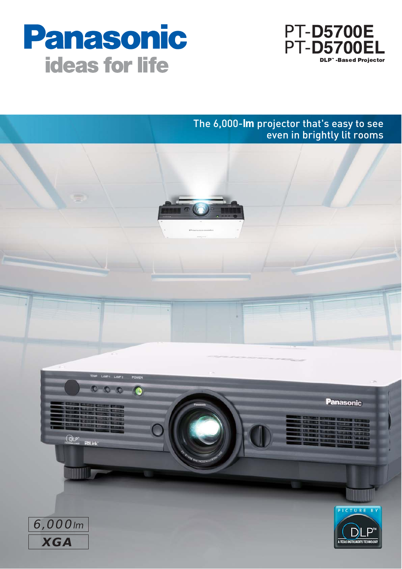



## The 6,000-**lm** projector that's easy to see even in brightly lit rooms

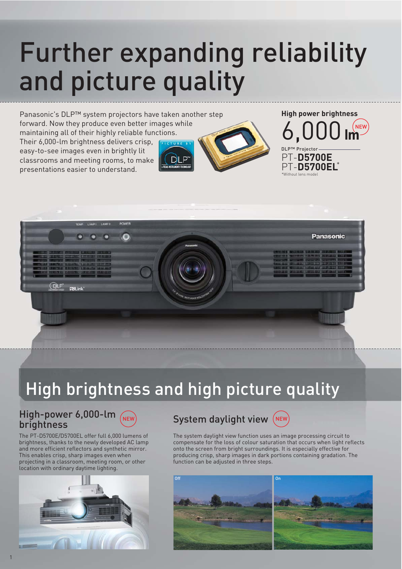# Further expanding reliability and picture quality

Panasonic's DLP™ system projectors have taken another step forward. Now they produce even better images while maintaining all of their highly reliable functions. Their 6,000-lm brightness delivers crisp, easy-to-see images even in brightly lit classrooms and meeting rooms, to make presentations easier to understand.



NEW PT-**D5700E** DLP™ Projector **High power brightness** 6,000**lm**

PT-**D5700EL**\*

 $*$ Without land



## High brightness and high picture quality

## $High-power 6,000-lm$  (NEW) System daylight view brightness



The PT-D5700E/D5700EL offer full 6,000 lumens of brightness, thanks to the newly developed AC lamp and more efficient reflectors and synthetic mirror. This enables crisp, sharp images even when projecting in a classroom, meeting room, or other location with ordinary daytime lighting.



## System daylight view (NEW)



The system daylight view function uses an image processing circuit to compensate for the loss of colour saturation that occurs when light reflects onto the screen from bright surroundings. It is especially effective for producing crisp, sharp images in dark portions containing gradation. The function can be adjusted in three steps.

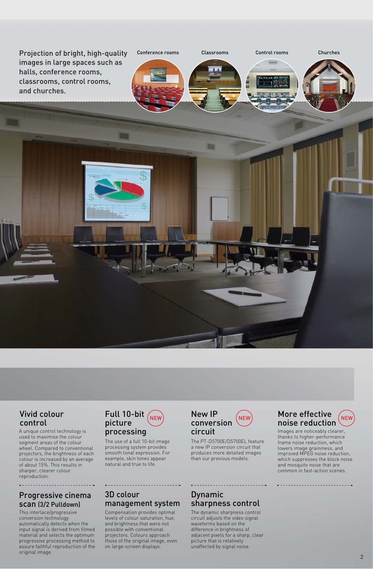

#### Vivid colour control

. . . . . . . . . . . . .

A unique control technology is used to maximise the colour segment areas of the colour wheel. Compared to conventional projectors, the brightness of each colour is increased by an average of about 15%. This results in sharper, clearer colour reproduction.

### Progressive cinema scan (3/2 Pulldown)

This interlace/progressive conversion technology automatically detects when the input signal is derived from filmed material and selects the optimum progressive processing method to assure faithful reproduction of the original image.

#### Full 10-bit picture processing

The use of a full 10-bit image processing system provides smooth tonal expression. For example, skin tones appear natural and true to life.

### 3D colour management system

Compensation provides optimal levels of colour saturation, hue, and brightness that were not possible with conventional projectors. Colours approach those of the original image, even on large-screen displays.

#### NEW CONVERSION NEW NOISE Reduction New IP conversion circuit

The PT-D5700E/D5700EL feature a new IP conversion circuit that produces more detailed images than our previous models.

## Dynamic sharpness control

-----------------

. . . . . . . . . .

The dynamic sharpness control circuit adjusts the video signal waveforms based on the difference in brightness of adjacent pixels for a sharp, clear picture that is relatively unaffected by signal noise.

## More effective

Images are noticeably clearer, thanks to higher-performance frame noise reduction, which lowers image graininess, and improved MPEG noise reduction, which suppresses the block noise and mosquito noise that are common in fast-action scenes.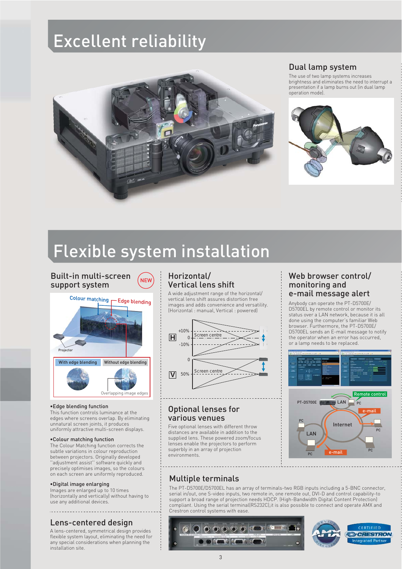## Excellent reliability



## Dual lamp system

The use of two lamp systems increases brightness and eliminates the need to interrupt a presentation if a lamp burns out (in dual lamp operation mode).



## Flexible system installation

Built-in multi-screen support system



#### •Edge blending function

This function controls luminance at the edges where screens overlap. By eliminating unnatural screen joints, it produces uniformly attractive multi-screen displays.

#### •Colour matching function

The Colour Matching function corrects the subtle variations in colour reproduction between projectors. Originally developed ''adjustment assist'' software quickly and precisely optimises images, so the colours on each screen are uniformly reproduced.

#### •Digital image enlarging

Images are enlarged up to 10 times (horizontally and vertically) without having to use any additional devices.

#### Lens-centered design

A lens-centered, symmetrical design provides flexible system layout, eliminating the need for any special considerations when planning the installation site.

#### Horizontal/ Vertical lens shift

A wide adjustment range of the horizontal/ vertical lens shift assures distortion free images and adds convenience and versatility. (Horizontal : manual, Vertical : powered)



#### Optional lenses for various venues

Five optional lenses with different throw distances are available in addition to the supplied lens. These powered zoom/focus lenses enable the projectors to perform superbly in an array of projection environments.

#### $N_{\text{new}}$  Horizontal/  $N_{\text{new}}$  Web browser control/ monitoring and e-mail message alert

Anybody can operate the PT-D5700E/ D5700EL by remote control or monitor its status over a LAN network, because it is all done using the computer's familiar Web browser. Furthermore, the PT-D5700E/ D5700EL sends an E-mail message to notify the operator when an error has occurred, or a lamp needs to be replaced.



## Multiple terminals

The PT-D5700E/D5700EL has an array of terminals-two RGB inputs including a 5-BNC connector, serial in/out, one S-video inputs, two remote in, one remote out, DVI-D and control capability-to support a broad range of projection needs HDCP. (High-Bandwidth Digital Content Protection) compliant. Using the serial terminal(RS232C),it is also possible to connect and operate AMX and Crestron control systems with ease.



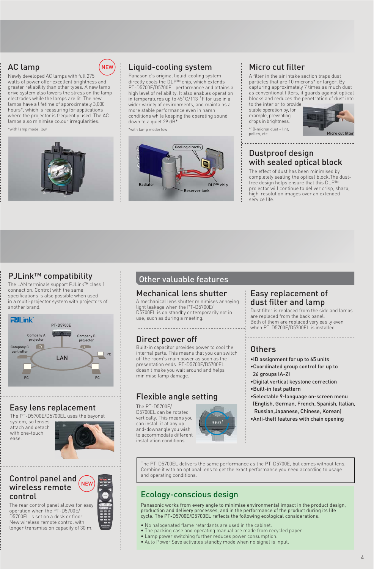## AC lamp



Newly developed AC lamps with full 275 watts of power offer excellent brightness and greater reliability than other types. A new lamp drive system also lowers the stress on the lamp electrodes while the lamps are lit. The new lamps have a lifetime of approximately 3,000 hours\*, which is reassuring for applications where the projector is frequently used. The AC lamps also minimise colour irregularities.

\*with lamp mode: low



## Liquid-cooling system

Panasonic's original liquid-cooling system directly cools the DLP™ chip, which extends PT-D5700E/D5700EL performance and attains a high level of reliability. It also enables operation in temperatures up to 45˚C/113 ˚F for use in a wider variety of environments, and maintains a more stable performance even in harsh conditions while keeping the operating sound down to a quiet 29 dB\*

\*with lamp mode: low



### Micro cut filter

A filter in the air intake section traps dust particles that are 10 microns\* or larger. By capturing approximately 7 times as much dust as conventional filters, it guards against optical blocks and reduces the penetration of dust into

to the interior to provide stable operation by, for example, preventing drops in brightness. \*10-micron dust = lint, pollen, etc.



#### Dustproof design with sealed optical block

The effect of dust has been minimised by completely sealing the optical block.The dustfree design helps ensure that this DLP™ projector will continue to deliver crisp, sharp, high-resolution images over an extended service life.

### PJLink™ compatibility

The LAN terminals support PJLink™ class 1 connection. Control with the same specifications is also possible when used in a multi-projector system with projectors of another brand.



### Easy lens replacement

The PT-D5700E/D5700EL uses the bayonet

system, so lenses attach and detach with one-touch ease.



#### **NEW** Control panel and wireless remote control

The rear control panel allows for easy operation when the PT-D5700E/ D5700EL is set on a desk or floor. New wireless remote control with longer transmission capacity of 30 m.

### Other valuable features

#### Mechanical lens shutter

A mechanical lens shutter minimises annoying light leakage when the PT-D5700E/ D5700EL is on standby or temporarily not in use, such as during a meeting.

### Direct power off

Built-in capacitor provides power to cool the internal parts. This means that you can switch off the room's main power as soon as the presentation ends. PT-D5700E/D5700EL doesn't make you wait around and helps minimise lamp damage.

#### Flexible angle setting

The PT-D5700E/ D5700EL can be rotated vertically. This means you can install it at any upand-downangle you wish to accommodate different installation conditions.



#### Easy replacement of dust filter and lamp

Dust filter is replaced from the side and lamps are replaced from the back panel. Both of them are replaced very easily even when PT-D5700E/D5700EL is installed.

## Others

- •ID assignment for up to 65 units
- •Coordinated group control for up to 26 groups (A-Z)
- •Digital vertical keystone correction
- •Built-in test pattern
- •Selectable 9-language on-screen menu (English, German, French, Spanish, Italian, Russian,Japanese, Chinese, Korean)
- •Anti-theft features with chain opening

The PT-D5700EL delivers the same performance as the PT-D5700E, but comes without lens. Combine it with an optional lens to get the exact performance you need according to usage and operating conditions.

## Ecology-conscious design

Panasonic works from every angle to minimise environmental impact in the product design, production and delivery processes, and in the performance of the product during its life cycle. The PT-D5700E/D5700EL reflects the following ecological considerations.

- No halogenated flame retardants are used in the cabinet.
- The packing case and operating manual are made from recycled paper.
- Lamp power switching further reduces power consumption.
- Auto Power Save activates standby mode when no signal is input.

#### 4